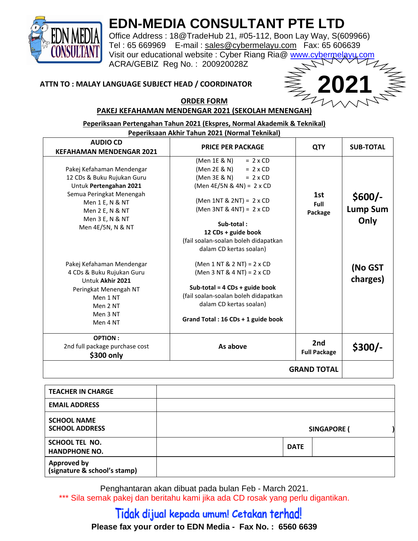

## **EDN-MEDIA CONSULTANT PTE LTD**

Office Address : 18@TradeHub 21, #05-112, Boon Lay Way, S(609966) Tel : 65 669969 E-mail : [sales@cybermelayu.com](mailto:sales@cybermelayu.com) Fax: 65 606639 Visit our educational website : Cyber Riang Ria@ [www.cybermelayu.com](http://www.cybermelayu.com/) ACRA/GEBIZ Reg No. : 200920028Z

#### **ATTN TO : MALAY LANGUAGE SUBJECT HEAD / COORDINATOR**



#### **ORDER FORM PAKEJ KEFAHAMAN MENDENGAR 2021 (SEKOLAH MENENGAH)**

**Peperiksaan Pertengahan Tahun 2021 (Ekspres, Normal Akademik & Teknikal)** 

| Peperiksaan Akhir Tahun 2021 (Normal Teknikal)                                                                                                                                              |                                                                                                                                                                                                                                                                                                           |                            |                                     |
|---------------------------------------------------------------------------------------------------------------------------------------------------------------------------------------------|-----------------------------------------------------------------------------------------------------------------------------------------------------------------------------------------------------------------------------------------------------------------------------------------------------------|----------------------------|-------------------------------------|
| <b>AUDIO CD</b><br><b>KEFAHAMAN MENDENGAR 2021</b>                                                                                                                                          | <b>PRICE PER PACKAGE</b>                                                                                                                                                                                                                                                                                  | <b>QTY</b>                 | <b>SUB-TOTAL</b>                    |
| Pakej Kefahaman Mendengar<br>12 CDs & Buku Rujukan Guru<br>Untuk Pertengahan 2021<br>Semua Peringkat Menengah<br>Men 1 E, N & NT<br>Men 2 E, N & NT<br>Men 3 E, N & NT<br>Men 4E/5N, N & NT | (Men 1E & N)<br>$= 2 \times CD$<br>(Men 2E & N)<br>$= 2 \times CD$<br>(Men 3E & N)<br>$= 2 \times CD$<br>(Men 4E/5N & 4N) = $2 \times CD$<br>(Men 1NT & 2NT) = 2 x CD<br>(Men 3NT & 4NT) = 2 x CD<br>Sub-total:<br>12 CDs + guide book<br>(fail soalan-soalan boleh didapatkan<br>dalam CD kertas soalan) | 1st<br>Full<br>Package     | $$600/-$<br><b>Lump Sum</b><br>Only |
| Pakej Kefahaman Mendengar<br>4 CDs & Buku Rujukan Guru<br>Untuk Akhir 2021<br>Peringkat Menengah NT<br>Men 1 NT<br>Men 2 NT<br>Men 3 NT<br>Men 4 NT                                         | (Men $1$ NT & $2$ NT) = $2$ x CD<br>(Men 3 NT & 4 NT) = $2 \times CD$<br>Sub-total = $4$ CDs + guide book<br>(fail soalan-soalan boleh didapatkan<br>dalam CD kertas soalan)<br>Grand Total: 16 CDs + 1 guide book                                                                                        |                            | (No GST<br>charges)                 |
| <b>OPTION:</b><br>2nd full package purchase cost<br>\$300 only                                                                                                                              | As above                                                                                                                                                                                                                                                                                                  | 2nd<br><b>Full Package</b> | $$300/-$                            |
|                                                                                                                                                                                             |                                                                                                                                                                                                                                                                                                           | <b>GRAND TOTAL</b>         |                                     |

| <b>TEACHER IN CHARGE</b>                           |             |                    |  |
|----------------------------------------------------|-------------|--------------------|--|
| <b>EMAIL ADDRESS</b>                               |             |                    |  |
| <b>SCHOOL NAME</b><br><b>SCHOOL ADDRESS</b>        |             | <b>SINGAPORE (</b> |  |
| <b>SCHOOL TEL NO.</b><br><b>HANDPHONE NO.</b>      | <b>DATE</b> |                    |  |
| <b>Approved by</b><br>(signature & school's stamp) |             |                    |  |

Penghantaran akan dibuat pada bulan Feb - March 2021. \*\*\* Sila semak pakej dan beritahu kami jika ada CD rosak yang perlu digantikan.

### Tidak dijual kepada umum! Cetakan terhad! **Please fax your order to EDN Media - Fax No. : 6560 6639**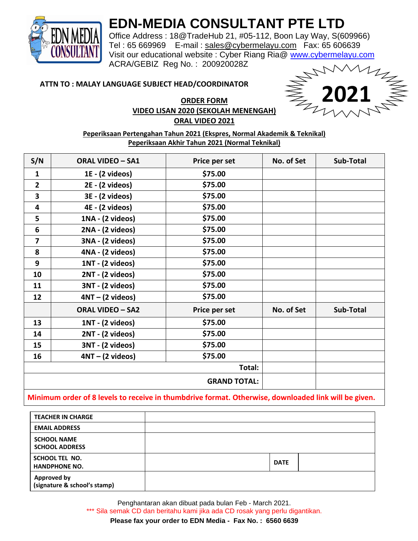

### **EDN-MEDIA CONSULTANT PTE LTD**

Office Address : 18@TradeHub 21, #05-112, Boon Lay Way, S(609966) Tel : 65 669969 E-mail : [sales@cybermelayu.com](mailto:sales@cybermelayu.com) Fax: 65 606639 Visit our educational website : Cyber Riang Ria@ [www.cybermelayu.com](http://www.cybermelayu.com/) ACRA/GEBIZ Reg No. : 200920028Z

#### **ATTN TO : MALAY LANGUAGE SUBJECT HEAD/COORDINATOR**

**2021**

#### **ORDER FORM VIDEO LISAN 2020 (SEKOLAH MENENGAH) ORAL VIDEO 2021**

#### **Peperiksaan Pertengahan Tahun 2021 (Ekspres, Normal Akademik & Teknikal) Peperiksaan Akhir Tahun 2021 (Normal Teknikal)**

| S/N            | <b>ORAL VIDEO - SA1</b>   | Price per set       | No. of Set | Sub-Total |
|----------------|---------------------------|---------------------|------------|-----------|
| $\mathbf{1}$   | $1E - (2 \text{ videos})$ | \$75.00             |            |           |
| $\overline{2}$ | 2E - (2 videos)           | \$75.00             |            |           |
| 3              | 3E - (2 videos)           | \$75.00             |            |           |
| 4              | 4E - (2 videos)           | \$75.00             |            |           |
| 5              | 1NA - (2 videos)          | \$75.00             |            |           |
| 6              | 2NA - (2 videos)          | \$75.00             |            |           |
| 7              | 3NA - (2 videos)          | \$75.00             |            |           |
| 8              | 4NA - (2 videos)          | \$75.00             |            |           |
| 9              | 1NT - (2 videos)          | \$75.00             |            |           |
| 10             | 2NT - (2 videos)          | \$75.00             |            |           |
| 11             | 3NT - (2 videos)          | \$75.00             |            |           |
| 12             | $4NT - (2 videos)$        | \$75.00             |            |           |
|                | <b>ORAL VIDEO - SA2</b>   | Price per set       | No. of Set | Sub-Total |
| 13             | 1NT - (2 videos)          | \$75.00             |            |           |
| 14             | 2NT - (2 videos)          | \$75.00             |            |           |
| 15             | 3NT - (2 videos)          | \$75.00             |            |           |
| 16             | $4NT - (2 videos)$        | \$75.00             |            |           |
|                |                           | Total:              |            |           |
|                |                           | <b>GRAND TOTAL:</b> |            |           |

#### **Minimum order of 8 levels to receive in thumbdrive format. Otherwise, downloaded link will be given.**

| <b>TEACHER IN CHARGE</b>                           |             |  |
|----------------------------------------------------|-------------|--|
| <b>EMAIL ADDRESS</b>                               |             |  |
| <b>SCHOOL NAME</b><br><b>SCHOOL ADDRESS</b>        |             |  |
| SCHOOL TEL NO.<br><b>HANDPHONE NO.</b>             | <b>DATE</b> |  |
| <b>Approved by</b><br>(signature & school's stamp) |             |  |

Penghantaran akan dibuat pada bulan Feb - March 2021. \*\*\* Sila semak CD dan beritahu kami jika ada CD rosak yang perlu digantikan.